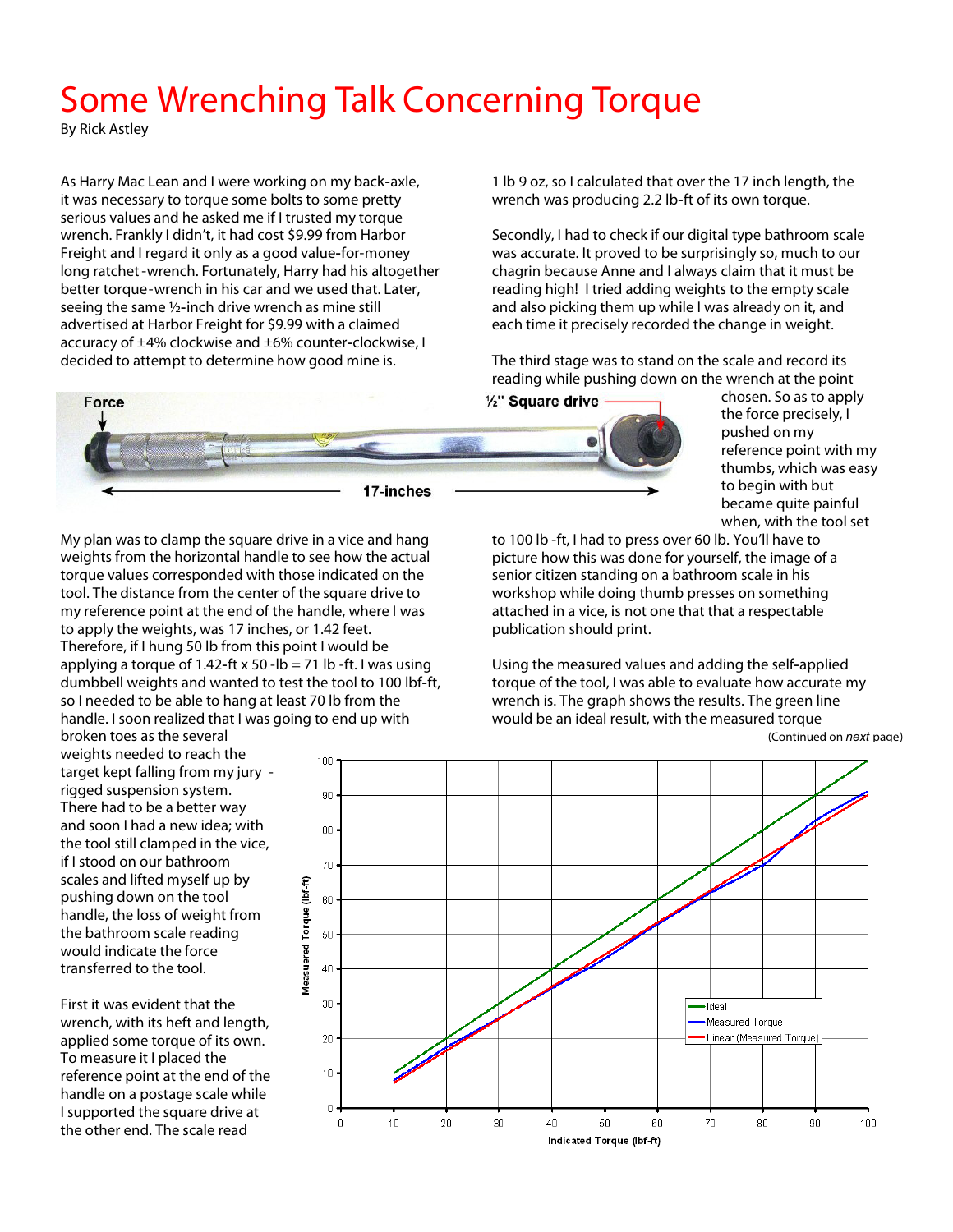## **Some Wrenching Talk Concerning Torque**

*By Rick Astley* 

As Harry Mac Lean and I were working on my back-axle, it was necessary to torque some bolts to some pretty serious values and he asked me if I trusted my torque wrench. Frankly I didn't, it had cost \$9.99 from Harbor Freight and I regard it only as a good value-for-money long ratchet -wrench. Fortunately, Harry had his altogether better torque-wrench in his car and we used that. Later, seeing the same ½-inch drive wrench as mine still advertised at Harbor Freight for \$9.99 with a claimed accuracy of ±4% clockwise and ±6% counter-clockwise, I decided to attempt to determine how good mine is.

1 lb 9 oz, so I calculated that over the 17 inch length, the wrench was producing 2.2 lb-ft of its own torque.

Secondly, I had to check if our digital type bathroom scale was accurate. It proved to be surprisingly so, much to our chagrin because Anne and I always claim that it must be reading high! I tried adding weights to the empty scale and also picking them up while I was already on it, and each time it precisely recorded the change in weight.

The third stage was to stand on the scale and record its reading while pushing down on the wrench at the point



My plan was to clamp the square drive in a vice and hang weights from the horizontal handle to see how the actual torque values corresponded with those indicated on the tool. The distance from the center of the square drive to my reference point at the end of the handle, where I was to apply the weights, was 17 inches, or 1.42 feet. Therefore, if I hung 50 lb from this point I would be applying a torque of 1.42-ft x 50 -lb = 71 lb -ft. I was using dumbbell weights and wanted to test the tool to 100 lbf-ft, so I needed to be able to hang at least 70 lb from the handle. I soon realized that I was going to end up with

Measuered Torque (lbf-ft)

broken toes as the several weights needed to reach the target kept falling from my jury rigged suspension system. There had to be a better way and soon I had a new idea; with the tool still clamped in the vice, if I stood on our bathroom scales and lifted myself up by pushing down on the tool handle, the loss of weight from the bathroom scale reading would indicate the force transferred to the tool.

First it was evident that the wrench, with its heft and length, applied some torque of its own. To measure it I placed the reference point at the end of the handle on a postage scale while I supported the square drive at the other end. The scale read

*(Continued on next page)*  $100<sub>1</sub>$  $90^{\circ}$ 80  $70$ 60 50  $40$ 30 - Ideal Measured Torque 20 Linear (Measured Torque)  $10<sub>1</sub>$  $\mathbf 0$  $20$  $30<sup>°</sup>$ 100  $\boldsymbol{0}$  $10$  $4<sub>0</sub>$ 50 60  $70$  $80^{\circ}$  $90<sub>1</sub>$ 

Indicated Torque (Ibf-ft)

chosen. So as to apply the force precisely, I pushed on my reference point with my thumbs, which was easy to begin with but became quite painful

when, with the tool set

to 100 lb -ft, I had to press over 60 lb. You'll have to picture how this was done for yourself, the image of a senior citizen standing on a bathroom scale in his workshop while doing thumb presses on something attached in a vice, is not one that that a respectable publication should print.

Using the measured values and adding the self-applied torque of the tool, I was able to evaluate how accurate my wrench is. The graph shows the results. The green line would be an ideal result, with the measured torque